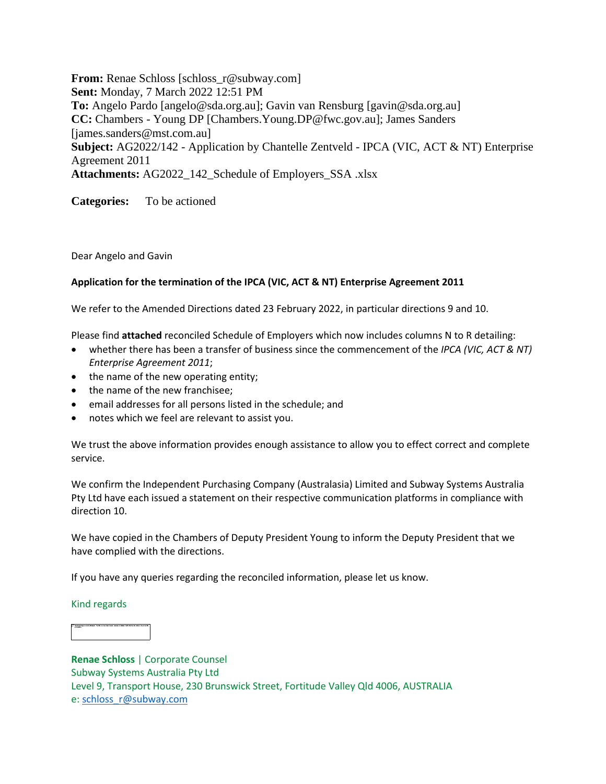**From:** Renae Schloss [schloss\_r@subway.com] **Sent:** Monday, 7 March 2022 12:51 PM **To:** Angelo Pardo [angelo@sda.org.au]; Gavin van Rensburg [gavin@sda.org.au] **CC:** Chambers - Young DP [Chambers.Young.DP@fwc.gov.au]; James Sanders [james.sanders@mst.com.au] **Subject:** AG2022/142 - Application by Chantelle Zentveld - IPCA (VIC, ACT & NT) Enterprise Agreement 2011 **Attachments:** AG2022\_142\_Schedule of Employers\_SSA .xlsx

**Categories:** To be actioned

Dear Angelo and Gavin

## **Application for the termination of the IPCA (VIC, ACT & NT) Enterprise Agreement 2011**

We refer to the Amended Directions dated 23 February 2022, in particular directions 9 and 10.

Please find **attached** reconciled Schedule of Employers which now includes columns N to R detailing:

- whether there has been a transfer of business since the commencement of the *IPCA (VIC, ACT & NT) Enterprise Agreement 2011*;
- the name of the new operating entity;
- the name of the new franchisee;
- email addresses for all persons listed in the schedule; and
- notes which we feel are relevant to assist you.

We trust the above information provides enough assistance to allow you to effect correct and complete service.

We confirm the Independent Purchasing Company (Australasia) Limited and Subway Systems Australia Pty Ltd have each issued a statement on their respective communication platforms in compliance with direction 10.

We have copied in the Chambers of Deputy President Young to inform the Deputy President that we have complied with the directions.

If you have any queries regarding the reconciled information, please let us know.

## Kind regards

**Renae Schloss** | Corporate Counsel Subway Systems Australia Pty Ltd Level 9, Transport House, 230 Brunswick Street, Fortitude Valley Qld 4006, AUSTRALIA e: [schloss\\_r@subway.com](mailto:schloss_r@subway.com)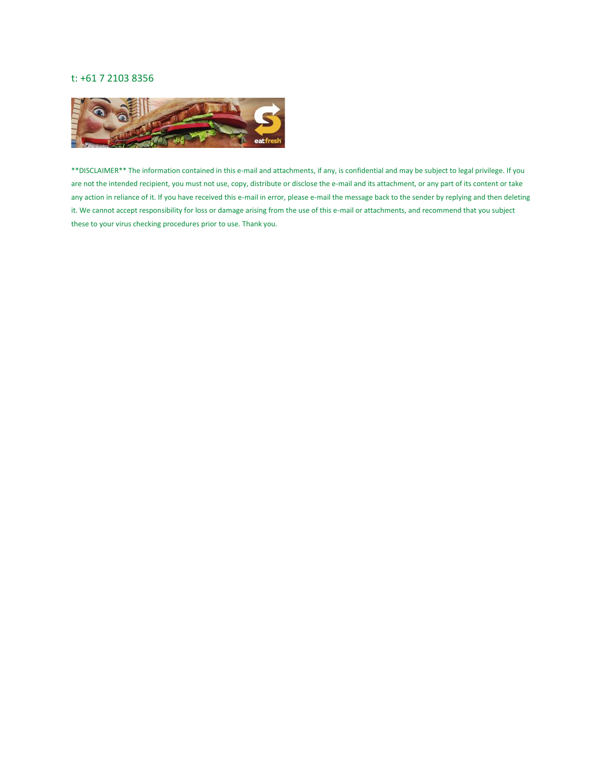## t: +61 7 2103 8356



\*\*DISCLAIMER\*\* The information contained in this e-mail and attachments, if any, is confidential and may be subject to legal privilege. If you are not the intended recipient, you must not use, copy, distribute or disclose the e-mail and its attachment, or any part of its content or take any action in reliance of it. If you have received this e-mail in error, please e-mail the message back to the sender by replying and then deleting it. We cannot accept responsibility for loss or damage arising from the use of this e-mail or attachments, and recommend that you subject these to your virus checking procedures prior to use. Thank you.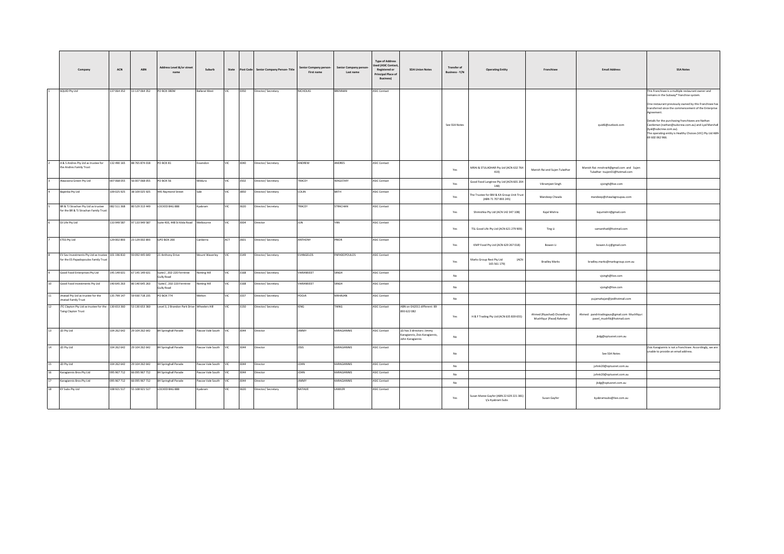|    | Company                                                                                                  | ACN         | ABN                        | Address Level &/or street<br>name              | Suburb                | State      |      | Post Code Senior Company Person- Title | enior Company perse<br>First name | Senior Company persor<br>Last name | <b>Type of Address</b><br>sed (ASIC Contact<br><b>Registered or</b><br>Principal Place of<br><b>Business)</b> | <b>SDA Union Notes</b>                                                          | <b>Transfer of</b><br><b>Business - Y/N</b> | <b>Operating Entity</b>                                          | Franchisee                                             | <b>Email Address</b>                                                       | <b>SSA Notes</b>                                                                                                                                                                                                                                                                                                                                                                                                                                    |
|----|----------------------------------------------------------------------------------------------------------|-------------|----------------------------|------------------------------------------------|-----------------------|------------|------|----------------------------------------|-----------------------------------|------------------------------------|---------------------------------------------------------------------------------------------------------------|---------------------------------------------------------------------------------|---------------------------------------------|------------------------------------------------------------------|--------------------------------------------------------|----------------------------------------------------------------------------|-----------------------------------------------------------------------------------------------------------------------------------------------------------------------------------------------------------------------------------------------------------------------------------------------------------------------------------------------------------------------------------------------------------------------------------------------------|
|    | 6QUID Pty Ltd                                                                                            | 137 064 352 | 13 137 064 352             | PO BOX 380W                                    | <b>Ballarat West</b>  | <b>VIC</b> | 3350 | Director/Secretary                     | <b>NICHOLAS</b>                   | <b>BRENNAN</b>                     | <b>ASIC Contact</b>                                                                                           |                                                                                 | See SSA Notes                               |                                                                  |                                                        | quid6@outlook.com                                                          | This Franchisee is a multiple restaurant owner and<br>emains in the Subway® franchise system.<br>One restaurant previously owned by this Franchisee has<br>transferred since the commencement of the Enterprise<br>Agreement.<br>Details for the purchasing franchisees are Nathan<br>Castleman (nathan@subcrew.com.au) and Lyal Marshall<br>(lyal@subcrew.com.au).<br>The operating entity is Healthy Choices (VIC) Pty Ltd ABN<br>69 602 062 966. |
|    | A & S Andres Pty Ltd as trustee for<br>the Andres Family Trust                                           |             | 132 490 165 88 765 874 018 | PO BOX 81                                      | Essendon              | VIC        | 3040 | Director/ Secretary                    | ANDREW                            | ANDRES                             | <b>ASIC Contact</b>                                                                                           |                                                                                 | Yes                                         | MRAI & STULADHAR Pty Ltd (ACN 632 764<br>419)                    | Manish Rai and Sujen Tuladhar                          | Manish Rai: mnshrai4@gmail.com and Sujen<br>Tuladhar: tsujen01@hotmail.com |                                                                                                                                                                                                                                                                                                                                                                                                                                                     |
|    | Alawoona Green Pty Ltd                                                                                   | 007 068 055 | 56 007 068 055             | PO BOX 56                                      | Mildura               | VIC        | 3502 | Director/Secretary                     | TRACEY                            | WAGSTAFF                           | <b>ASIC Contact</b>                                                                                           |                                                                                 | Yes                                         | Good Food Langtree Pty Ltd (ACN 601 204<br>148)                  | Vikramjeet Singh                                       | vjsingh@live.com                                                           |                                                                                                                                                                                                                                                                                                                                                                                                                                                     |
|    | Bapinba Pty Ltd                                                                                          | 109 025 925 | 38 109 025 925             | 445 Raymond Street                             | Sale                  | VIC        | 3850 | Director/ Secretary                    | COLIN                             | BATH                               | <b>ASIC Contact</b>                                                                                           |                                                                                 | Yes                                         | The Trustee for BM & KA Group Unit Trust<br>(ABN 71 707 893 245) | Mandeep Chawla                                         | mandeep@chawlagroupau.com                                                  |                                                                                                                                                                                                                                                                                                                                                                                                                                                     |
|    | BR & TJ Strachan Pty Ltd as trustee<br>for the BR & TJ Strachan Family Trust                             |             | 082 511 368 80 529 313 449 | LOCKED BAG 888                                 | Kyabram               | VIC        | 3620 | Director/Secretary                     | TRACEY                            | STRACHAN                           | <b>ASIC Contact</b>                                                                                           |                                                                                 | Yes                                         | Shimishka Pty Ltd (ACN 142 347 108)                              | Kajal Mishra                                           | kajumishri@gmail.com                                                       |                                                                                                                                                                                                                                                                                                                                                                                                                                                     |
|    | DJ Life Pty Ltd                                                                                          | 133 949 587 | 97 133 949 587             | Suite 403, 448 St Kilda Road Melbourne         |                       | VIC        | 3004 | Director                               | <b>JUN</b>                        | YAN                                | <b>ASIC Contact</b>                                                                                           |                                                                                 | Yes                                         | TSL Good Life Pty Ltd (ACN 621 279 909)                          | Ting Li                                                | samanthatl@hotmail.com                                                     |                                                                                                                                                                                                                                                                                                                                                                                                                                                     |
|    | ETSS Pty Ltd                                                                                             |             | 129 002 893 23 129 002 893 | GPO BOX 200                                    | Canberra              | ACT        | 2601 | Director/ Secretary                    | ANTHONY                           | PRIOR                              | <b>ASIC Contact</b>                                                                                           |                                                                                 | Yes                                         | KMP Food Pty Ltd (ACN 629 267 018)                               | Bowen Li                                               | bowen.li.cj@gmail.com                                                      |                                                                                                                                                                                                                                                                                                                                                                                                                                                     |
|    | EV Sav Investments Pty Ltd as trustee 101 196 810 93 092 445 640<br>for the ES Papadopoulos Family Trust |             |                            | 21 Anthony Drive                               | Mount Waverley        | VIC        | 3149 | Director/ Secretary                    | EVANGELOS                         | PAPADOPOULOS                       | <b>ASIC Contact</b>                                                                                           |                                                                                 | Yes                                         | Marks Group Rest Pty Ltd<br>(ACN<br>165 561 179)                 | <b>Bradley Marks</b>                                   | bradley.marks@marksgroup.com.au                                            |                                                                                                                                                                                                                                                                                                                                                                                                                                                     |
|    | Good Food Enterprises Pty Ltd                                                                            | 145 149 631 | 67 145 149 631             | Suite1', 202-220 Ferntree<br><b>Sully Road</b> | Notting Hill          | VIC        | 3168 | Director/ Secretary                    | VIKRAMJEET                        | SINGH                              | <b>ASIC Contact</b>                                                                                           |                                                                                 | No                                          |                                                                  |                                                        | vjsingh@live.com                                                           |                                                                                                                                                                                                                                                                                                                                                                                                                                                     |
| 10 | Good Food Investments Pty Ltd                                                                            | 140 645 263 | 80 140 645 263             | Suite1', 202-220 Ferntree<br><b>Sully Road</b> | Notting Hill          | VIC        | 3168 | Director/ Secretary                    | VIKRAMJEET                        | SINGH                              | <b>ASIC Contact</b>                                                                                           |                                                                                 | No                                          |                                                                  |                                                        | vjsingh@live.com                                                           |                                                                                                                                                                                                                                                                                                                                                                                                                                                     |
| 11 | Imatad Pty Ltd as trustee for the<br>Imatad Family Trust                                                 | 135 799 147 | 59 930 718 235             | PO BOX 774                                     | Melton                | VIC        | 3337 | Director/ Secretary                    | <b>ALOO9</b>                      | MAHAJAN                            | <b>ASIC Contact</b>                                                                                           |                                                                                 | No                                          |                                                                  |                                                        | pujamahajan@jedihotmail.com                                                |                                                                                                                                                                                                                                                                                                                                                                                                                                                     |
| 12 | JTC Clayton Pty Ltd as trustee for the 130 653 360<br>Taing Clayton Trust                                |             | 53 130 653 360             | Level 3, 2 Brandon Park Drive Wheelers Hill    |                       | VIC        | 3150 | Director/ Secretary                    | <b>IENG</b>                       | TAING                              | <b>ASIC Contact</b>                                                                                           | ABN on EA2011 different: 89<br>893 622 082                                      | Yes                                         | H & F Trading Pty Ltd (ACN 635 839 655)                          | Ahmed (Riyashad) Chowdhury<br>Mushfiqur (Paval) Rahman | Ahmed: pandrtradingaus@gmail.com Mushfiqur:<br>pavel_mushfik@hotmail.com   |                                                                                                                                                                                                                                                                                                                                                                                                                                                     |
| 13 | JZJ Pty Ltd                                                                                              |             | 104 262 642 29 104 262 642 | 84 Springhall Parade                           | Pascoe Vale South VIC |            | 3044 | Director                               | JIMMY                             | KARAGIANNIS                        | <b>ASIC Contact</b>                                                                                           | 2J has 3 directors: Jimmy<br>aragiannis, Zisis Karagiannis,<br>John Karagiannis | No                                          |                                                                  |                                                        | jkdg@optusnet.com.au                                                       |                                                                                                                                                                                                                                                                                                                                                                                                                                                     |
| 14 | JZJ Pty Ltd                                                                                              | 104 262 642 | 29 104 262 642             | 84 Springhall Parade                           | Pascoe Vale South     | VIC        | 3044 | Director                               | ZISIS                             | KARAGIANNIS                        | <b>ASIC Contact</b>                                                                                           |                                                                                 | No                                          |                                                                  |                                                        | See SSA Notes                                                              | Zisis Karagiannis is not a franchisee. Accordingly, we are<br>unable to provide an email address.                                                                                                                                                                                                                                                                                                                                                   |
| 15 | JZJ Pty Ltd                                                                                              | 104 262 642 | 29 104 262 642             | 84 Springhall Parade                           | Pascoe Vale South     | <b>VIC</b> | 3044 | Director                               | <b>JOHN</b>                       | KARAGIANNIS                        | <b>ASIC Contact</b>                                                                                           |                                                                                 | No                                          |                                                                  |                                                        | johnk20@optusnet.com.au                                                    |                                                                                                                                                                                                                                                                                                                                                                                                                                                     |
| 16 | Karagiannis Bros Pty Ltd                                                                                 | 095 967 712 | 66 095 967 712             | 84 Springhall Parade                           | Pascoe Vale South     | VIC        | 3044 | Director                               | <b>JOHN</b>                       | KARAGIANNIS                        | <b>ASIC Contact</b>                                                                                           |                                                                                 | No                                          |                                                                  |                                                        | johnk20@optusnet.com.au                                                    |                                                                                                                                                                                                                                                                                                                                                                                                                                                     |
| 17 | Karagiannis Bros Pty Ltd                                                                                 | 095 967 712 | 66 095 967 712             | 84 Springhall Parade                           | Pascoe Vale South     | VIC        | 3044 | Director                               | JIMMY                             | KARAGIANNIS                        | <b>ASIC Contact</b>                                                                                           |                                                                                 | No                                          |                                                                  |                                                        | jkdg@optusnet.com.au                                                       |                                                                                                                                                                                                                                                                                                                                                                                                                                                     |
| 18 | KY Subs Pty Ltd                                                                                          | 108 921 517 | 55 108 921 517             | LOCKED BAG 888                                 | Kvabram               | VIC        | 3620 | Director/ Secretary                    | NATALIE                           | LAWLER                             | <b>ASIC Contact</b>                                                                                           |                                                                                 | Yes                                         | Susan Maree Gayfer (ABN 22 629 221 381)<br>t/a Kyabram Subs      | Susan Gavfer                                           | kvabramsubs@live.com.au                                                    |                                                                                                                                                                                                                                                                                                                                                                                                                                                     |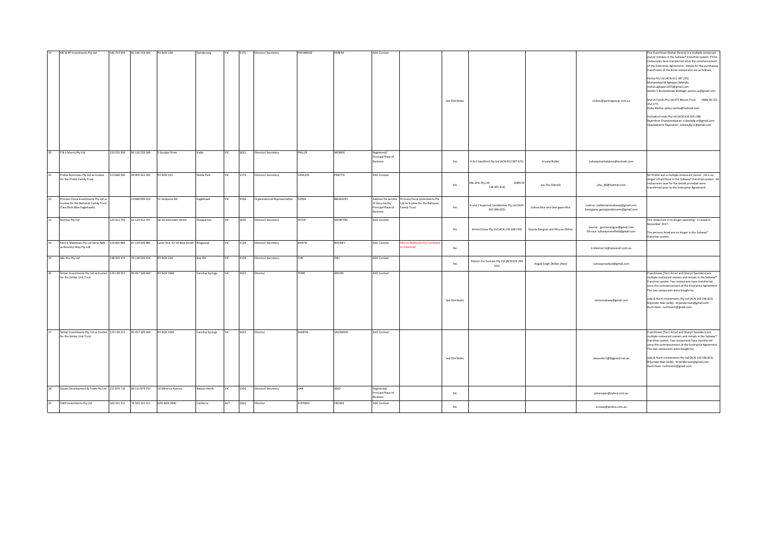| 19 | MC & RP Investments Pty Ltd                                                                                |             | 146 753 504 82 146 753 504                | PO BOX 159                           | Dandenong        | VIC | 3175 | Director/ Secretary                 | PATHIRAGE   | PERERA          | <b>ASIC Contact</b>                                    |                                                                                                       |               |                                                          |                                 |                                                                             | This Franchisee (Rohan Perera) is a multiple restaurant                                                                                                                                                                                                                                                                                                                                                                                                                                                                                                                                                                                            |
|----|------------------------------------------------------------------------------------------------------------|-------------|-------------------------------------------|--------------------------------------|------------------|-----|------|-------------------------------------|-------------|-----------------|--------------------------------------------------------|-------------------------------------------------------------------------------------------------------|---------------|----------------------------------------------------------|---------------------------------|-----------------------------------------------------------------------------|----------------------------------------------------------------------------------------------------------------------------------------------------------------------------------------------------------------------------------------------------------------------------------------------------------------------------------------------------------------------------------------------------------------------------------------------------------------------------------------------------------------------------------------------------------------------------------------------------------------------------------------------------|
|    |                                                                                                            |             |                                           |                                      |                  |     |      |                                     |             |                 |                                                        |                                                                                                       | See SSA Notes |                                                          |                                 | roshan@pereragroup.com.au                                                   | owner remains in the Subway® franchise system. Three<br>restaurants have transferred since the commencement<br>of the Enterprise Agreement. Details for the purchasing<br>franchisees of the three restaurants are as follows:<br>Panisa Pty Ltd (ACN 611 187 225)<br>Mohammad M Aghajani (Mehdi):<br>mehdi.aghajani1970@gmail.com<br>Atefeh S Rostamkolae Motlagh: panisa.co@gmail.com<br>Maruti Foods Pty Ltd ATF Maruti Trust (ABN 28 723<br>352 177)<br>Pinky Mehta: pinky-mehta@hotmail.com<br>Srichakra Foods Pty Ltd (ACN 616 305 198)<br>Rajendran Chandrasekaran: subwayfg.vr@gmail.com<br>Vijayalakshmi Rajendran: subwayfg.vr@gmail.com |
| 20 | P & S Morris Pty Ltd                                                                                       |             | 110 555 309 66 110 555 309 2 Gordon Drive |                                      | Kialla           | VIC |      | 3631 Director/ Secretary            | PHILIP      | <b>MORRIS</b>   | Registered/<br>Principal Place of<br>Business          |                                                                                                       | Yes           | K & G Sandford Pty Ltd (ACN 612 997 672)                 | Krystal Butler                  | subwaymarketplace@outlook.com                                               |                                                                                                                                                                                                                                                                                                                                                                                                                                                                                                                                                                                                                                                    |
| 21 | Prattis Nominees Pty Ltd as trustee<br>for the Prattis Family Trust                                        | 113 669 560 | 49 009 422 343                            | PO BOX 331                           | Noble Park       | VIC | 3174 | Director/ Secretary                 | VASILIOS    | PRATTIS         | <b>ASIC Contact</b>                                    |                                                                                                       | Yes           | SNL ZHU Pty Ltd<br>(ABN 29<br>138 505 414)               | Jun Zhu (Daniel)                | jzhu_80@hotmail.com                                                         | Mr Prattis was a multiple restaurant owner. He is no<br>longer a franchisee in the Subway® franchise system. All<br>restaurants save for the details provided were<br>transferred prior to the Enterprise Agreement.                                                                                                                                                                                                                                                                                                                                                                                                                               |
| 22 | Princess Fiona Investments Pty Ltd as<br>rustee for the Balnaves Family Trust<br>Two Birds Blue Eaglehawk) |             | 19 689 099 019 51 Simpsons Rd             |                                      | Eaglehawk        | VIC | 3556 | Organisational Representative FIONA |             | <b>BALNAVES</b> | of documents/<br>Principal Place of<br><b>Business</b> | Address for service Princess Fiona Investments Pty<br>Ltd as trustee for the Balnaves<br>Family Trust | Yes           | G and J Supersub Sandwiches Pty Ltd (ACN<br>603 496 6351 | Joshua Rice and Georgiana Rice  | Joshua: castlemainesubway@gmail.com<br>Georgiana: georgianabrowne@gmail.com |                                                                                                                                                                                                                                                                                                                                                                                                                                                                                                                                                                                                                                                    |
| 23 | Remhar Pty Ltd                                                                                             | 124 412 791 | 64 124 412 791                            | 18-20 Ashenden Street                | Shepparton       | VIC | 3630 | Director/ Secretary                 | PETER       | MCINTYRE        | <b>ASIC Contact</b>                                    |                                                                                                       | Yes           | Anmol Grace Pty Ltd (ACN 156 168 259)                    | Gaurav Rangras and Dhruva Obhan | Gaurav: gauravrangras@gmail.com<br>Dhruva: subwaymansfield@gmail.com        | This restaurant is no longer operating - it closed in<br>Vovember 2017.<br>The persons listed are no longer in the Subway*<br>franchise system.                                                                                                                                                                                                                                                                                                                                                                                                                                                                                                    |
|    | Morris Matthews Pty Ltd same ABN 124 005 885<br>as Rooneys Way Pty Ltd                                     |             | 87 124 005 885                            | Level One, 42-44 New Street Ringwood |                  | VIC | 3134 | Director/ Secretary                 | KRISTIE     | ROONEY          | <b>ASIC Contact</b>                                    | orris Matthews Pty Ltd (list<br>Schedule)                                                             | No            |                                                          |                                 | kristiemorris@optusnet.com.au                                               |                                                                                                                                                                                                                                                                                                                                                                                                                                                                                                                                                                                                                                                    |
| 25 | S&L Zhu Pty Ltd                                                                                            | 138 505 414 | 29 138 505 414                            | PO BOX 224                           | Box Hill         | VIC | 3128 | Director/ Secretary                 | JUN         | ZHU             | <b>ASIC Contact</b>                                    |                                                                                                       | Yes           | Passion For Success Pty Ltd (ACN 621 299<br>410)         | Angad Singh Dhillon (Alex)      | subwayrosebud@gmail.com                                                     |                                                                                                                                                                                                                                                                                                                                                                                                                                                                                                                                                                                                                                                    |
| 26 | Simtar Investments Pty Ltd as trustee 129 139 251 85 457 109 640<br>for the Simtar Unit Trust              |             |                                           | PO BOX 3585                          | Caroline Springs | VIC | 3023 | Director                            | TERRI       | ARCERI          | <b>ASIC Contact</b>                                    |                                                                                                       | See SSA Notes |                                                          |                                 | simtarsubway@gmail.com                                                      | Franchisees (Terri Arceri and Sharyn Saunders) are<br>multiple restaurant owners and remain in the Subway <sup>®</sup><br>franchise system. Two restaurants have transferred<br>since the commencement of the Enterprise Agreement.<br>The two restaurants were bought by:<br>Jolly & Ruchi Investments Pty Ltd (ACN 149 196 823)<br>Brijender Nain (Jolly): brijendernain@gmail.com<br>Ruchi Nain: ruchinain1@gmail.com                                                                                                                                                                                                                           |
| 27 | Simtar Investments Pty Ltd as trustee 129 139 251 85 457 109 640<br>for the Simtar Unit Trust              |             |                                           | PO BOX 3585                          | Caroline Springs | VIC | 3023 | Director                            | SHARYN      | SAUNDERS        | <b>ASIC Contact</b>                                    |                                                                                                       | See SSA Notes |                                                          |                                 | wsaunder1@bigpond.net.au                                                    | Franchisees (Terri Arceri and Sharyn Saunders) are<br>multiple restaurant owners and remain in the Subway®<br>franchise system. Two restaurants have transferred<br>since the commencement of the Enterprise Agreement<br>The two restaurants were bought by:<br>Jolly & Ruchi Investments Pty Ltd (ACN 149 196 823)<br>Brijender Nain (Jolly): brijendernain@gmail.com<br>Ruchi Nain: ruchinain1@gmail.com                                                                                                                                                                                                                                        |
| 28 | Siyuan Development & Trade Pty Ltd 115 874 710                                                             |             | 89 115 874 710                            | 19 Minerva Avenue                    | Balwyn North     | VIC | 3104 | Director/Secretary                  | <b>JIAN</b> | XIAO            | Registered/<br>Principal Place of<br><b>Business</b>   |                                                                                                       | No            |                                                          |                                 | jamesxjian@yahoo.com.au                                                     |                                                                                                                                                                                                                                                                                                                                                                                                                                                                                                                                                                                                                                                    |
| 29 | SSKP Investments Pty Ltd                                                                                   | 103 101 211 | 76 103 101 211                            | GPO BOX 2990                         | Canberra         | ACT | 2601 | Director                            | STEPHEN     | CROWE           | <b>ASIC Contact</b>                                    |                                                                                                       | No            |                                                          |                                 | scrowe@piratus.com.au                                                       |                                                                                                                                                                                                                                                                                                                                                                                                                                                                                                                                                                                                                                                    |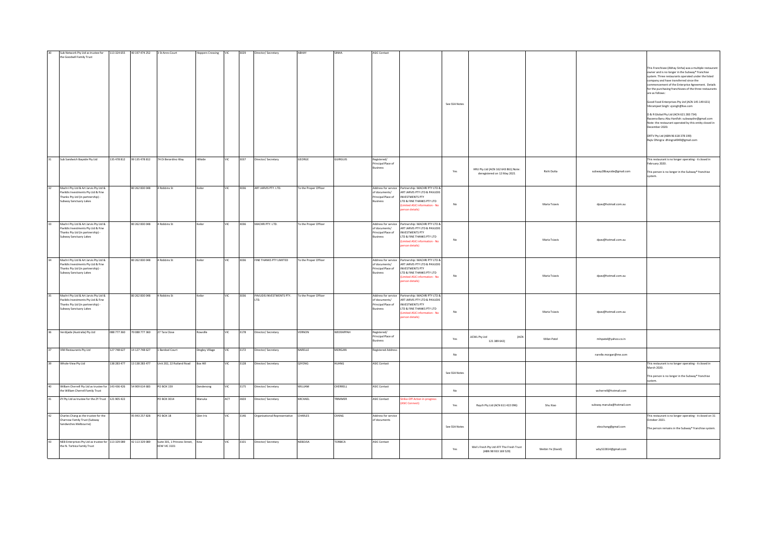| 30 <sub>1</sub> | Sub Network Pty Ltd as trustee for                                                                                                          |             | 113 324 655 40 197 474 252               | 3 St Anns Court                                   | Hoppers Crossing | VIC        | 3029 | Director/ Secretary                   | ABHAY                 | SINHA           | ASIC Contact                                                           |                                                                                                                                                                                             |               |                                                                    |                   |                           |                                                                                                                                                                                                                                                                                                                                                                                                                                                                                                                                                                                                                                                                                             |
|-----------------|---------------------------------------------------------------------------------------------------------------------------------------------|-------------|------------------------------------------|---------------------------------------------------|------------------|------------|------|---------------------------------------|-----------------------|-----------------|------------------------------------------------------------------------|---------------------------------------------------------------------------------------------------------------------------------------------------------------------------------------------|---------------|--------------------------------------------------------------------|-------------------|---------------------------|---------------------------------------------------------------------------------------------------------------------------------------------------------------------------------------------------------------------------------------------------------------------------------------------------------------------------------------------------------------------------------------------------------------------------------------------------------------------------------------------------------------------------------------------------------------------------------------------------------------------------------------------------------------------------------------------|
|                 | the Goodwill Family Trust                                                                                                                   |             |                                          |                                                   |                  |            |      |                                       |                       |                 |                                                                        |                                                                                                                                                                                             | See SSA Notes |                                                                    |                   |                           | This Franchisee (Abhay Sinha) was a multiple restaurant<br>owner and is no longer in the Subway® franchise<br>system. Three restaurants operated under the listed<br>company and have transferred since the<br>commencement of the Enterprise Agreement. Details<br>for the purchasing franchisees of the three restaurants<br>are as follows:<br>Good Food Enterprises Pty Ltd (ACN 145 149 631)<br>Vikramjeet Singh: vjsingh@live.com<br>D & R Global Pty Ltd (ACN 621 283 734)<br>Razzena Banu Abu Hanifah: subwaydnr@gmail.com<br>Note: the restaurant operated by this entity closed in<br>December 2020.<br>DRTV Pty Ltd (ABN 96 618 378 199)<br>Rajiv Dhingra: dhingra4949@gmail.com |
| 31              | Sub Sandwich Bayside Pty Ltd                                                                                                                |             |                                          | 135 478 812 99 135 478 812 7A Di Berardino Way    | Hillside         | VIC        | 3037 | Director/ Secretary                   | GEORGE                | <b>GUIRGUIS</b> | Registered/<br>Principal Place of<br>Business                          |                                                                                                                                                                                             | Yes           | HRU Pty Ltd (ACN 162 643 861) Note:<br>deregistered on 12 May 2021 | Rishi Dutta       | subway28bayside@gmail.com | This restaurant is no longer operating - it closed in<br>ebruary 2020.<br>This person is no longer in the Subway® franchise<br>wstem.                                                                                                                                                                                                                                                                                                                                                                                                                                                                                                                                                       |
|                 | Machri Pty Ltd & Art Jarvis Pty Ltd &<br>Pavlidis Investments Pty Ltd & Fine<br>Thanks Pty Ltd (in partnership) -<br>ubway Sanctuary Lakes  |             | 80 262 830 048                           | 4 Robbins St                                      | Keilor           | VIC        |      | 3036 ART JARVIS PTY. LTD.             | To the Proper Officer |                 | Address for service<br>of documents/<br>Principal Place of<br>Business | Partnership: MACHRI PTY LTD &<br>ART JARVIS PTY LTD & PAVLIDIS<br><b>INVESTMENTS PTY</b><br>LTD & FINE THANKS PTY LTD<br>mited ASIC information - N<br>rson details)                        | No            |                                                                    | Maria Tsiavis     | dpav@hotmail.com.au       |                                                                                                                                                                                                                                                                                                                                                                                                                                                                                                                                                                                                                                                                                             |
|                 | Machri Pty Ltd & Art Jarvis Pty Ltd &<br>Pavlidis Investments Pty Ltd & Fine<br>Thanks Pty Ltd (in partnership) -<br>ubway Sanctuary Lakes  |             | 80 262 830 048 4 Robbins St              |                                                   | Keilor           | VIC        | 3036 | MACHRI PTY. LTD.                      | To the Proper Officer |                 | of documents/<br>Principal Place of<br>dusiness                        | Address for service Partnership: MACHRI PTY LTD &<br>ART JARVIS PTY LTD & PAVLIDIS<br><b>INVESTMENTS PTY</b><br>LTD & FINE THANKS PTY LTD<br>mited ASIC information - No<br>erson details)  | No            |                                                                    | Maria Tsiavis     | dpav@hotmail.com.au       |                                                                                                                                                                                                                                                                                                                                                                                                                                                                                                                                                                                                                                                                                             |
|                 | Machri Pty Ltd & Art Jarvis Pty Ltd &<br>avlidis Investments Pty Ltd & Fine<br>Thanks Pty Ltd (in partnership) -<br>ubway Sanctuary Lakes   |             | 80 262 830 048                           | 4 Robbins St                                      | Keilor           | VIC        | 3036 | FINE THANKS PTY LIMITED               | To the Proper Officer |                 | Address for service<br>of documents/<br>Principal Place of<br>dusiness | Partnership: MACHRI PTY LTD &<br>ART JARVIS PTY LTD & PAVLIDIS<br>INVESTMENTS PTY<br>LTD & FINE THANKS PTY LTD<br>imited ASIC information - No<br>erson details)                            | No            |                                                                    | Maria Tsiavis     | dpay@hotmail.com.au       |                                                                                                                                                                                                                                                                                                                                                                                                                                                                                                                                                                                                                                                                                             |
|                 | Machri Pty Ltd & Art Jarvis Pty Ltd &<br>Pavlidis Investments Pty Ltd & Fine<br>Thanks Pty Ltd (in partnership) -<br>Subway Sanctuary Lakes |             | 80 262 830 048 4 Robbins St              |                                                   | Keilor           | VIC        | 3036 | PAVLIDIS INVESTMENTS PTY.<br>LTD.     | To the Proper Officer |                 | of documents/<br>Principal Place of<br><b>Business</b>                 | Address for service Partnership: MACHRI PTY LTD &<br>ART JARVIS PTY LTD & PAVLIDIS<br><b>INVESTMENTS PTY</b><br>LTD & FINE THANKS PTY LTD<br>imited ASIC information - No<br>erson details) | No            |                                                                    | Maria Tsiavis     | dpav@hotmail.com.au       |                                                                                                                                                                                                                                                                                                                                                                                                                                                                                                                                                                                                                                                                                             |
|                 | Verdijade (Australia) Pty Ltd                                                                                                               |             | 088 777 360 70 088 777 360 27 Tara Close |                                                   | Rowville         | VIC        | 3178 | Director/ Secretary                   | VERNON                | WEERAPPAH       | Registered/<br>Principal Place of<br>Business                          |                                                                                                                                                                                             | Yes           | (ACN<br>JJCML Pty Ltd<br>121 389 642)                              | Milan Patel       | minpatel@yahoo.co.in      |                                                                                                                                                                                                                                                                                                                                                                                                                                                                                                                                                                                                                                                                                             |
|                 | VIM Restaurants Pty Ltd                                                                                                                     | 127 748 627 | 14 127 748 627                           | 1 Bardoel Court                                   | Dingley Village  | VIC        | 3172 | Director/ Secretary                   | NARELLE               | MORGAN          | <b>Registered Address</b>                                              |                                                                                                                                                                                             | No            |                                                                    |                   | narelle.morgan@me.com     |                                                                                                                                                                                                                                                                                                                                                                                                                                                                                                                                                                                                                                                                                             |
| 39              | Whole-View Pty Ltd                                                                                                                          | 138 283 477 | 13 138 283 477                           | Unit 202, 22 Rutland Road                         | Box Hill         | VIC        | 3128 | Director/ Secretary                   | QIYONG                | HUANG           | <b>ASIC Contact</b>                                                    |                                                                                                                                                                                             | See SSA Notes |                                                                    |                   |                           | This restaurant is no longer operating - it closed in<br>March 2020.<br>This person is no longer in the Subway® franchise                                                                                                                                                                                                                                                                                                                                                                                                                                                                                                                                                                   |
| 40              | William Cherrell Pty Ltd as trustee for   143 436 426   54 909 614 683<br>the William Cherrell Family Trust                                 |             |                                          | PO BOX 159                                        | Dandenong        | <b>VIC</b> | 3175 | Director/ Secretary                   | WILLIAM               | CHERRELL        | <b>ASIC Contact</b>                                                    |                                                                                                                                                                                             | No            |                                                                    |                   | wcherrell@hotmail.com     |                                                                                                                                                                                                                                                                                                                                                                                                                                                                                                                                                                                                                                                                                             |
| 41              | ZY Pty Ltd as trustee for the ZY Trust 121 905 422                                                                                          |             |                                          | PO BOX 3014                                       | Manuka           | ACT        | 2603 | Director/Secretary                    | MICHAEL               | TRIMMER         | <b>ASIC Contact</b>                                                    | Strike-Off Action in progress<br><b>ASIC Connect)</b>                                                                                                                                       | Yes           | Raych Pty Ltd (ACN 611 422 096)                                    | Shu Xiao          | subway.manuka@hotmail.com |                                                                                                                                                                                                                                                                                                                                                                                                                                                                                                                                                                                                                                                                                             |
| 42              | Charles Chang as the trustee for the<br>Charnow Family Trust (Subway<br>andwiches Melbourne)                                                |             | 95 943 257 828 PO BOX 18                 |                                                   | Glen Iris        | VIC        | 3146 | Organisational Representative CHARLES |                       | CHANG           | Address for service<br>of documents                                    |                                                                                                                                                                                             | See SSA Notes |                                                                    |                   | elecchang@gmail.com       | This restaurant is no longer operating - it closed on 31<br>October 2021.<br>The person remains in the Subway® franchise system.                                                                                                                                                                                                                                                                                                                                                                                                                                                                                                                                                            |
|                 | NEB Enterprises Pty Ltd as trustee for 113 329 089 42 113 329 089<br>the N. Torbica Family Trust                                            |             |                                          | Suite 301, 1 Princess Street, Kew<br>KEW VIC 3101 |                  | VIC        | 3101 | Director/ Secretary                   | <b>NEBOJSA</b>        | TORBICA         | <b>ASIC Contact</b>                                                    |                                                                                                                                                                                             | Yes           | Wei's Fresh Pty Ltd ATF The Fresh Trust<br>(ABN 98 933 169 529)    | Weibin Ye (David) | wby522814@gmail.com       |                                                                                                                                                                                                                                                                                                                                                                                                                                                                                                                                                                                                                                                                                             |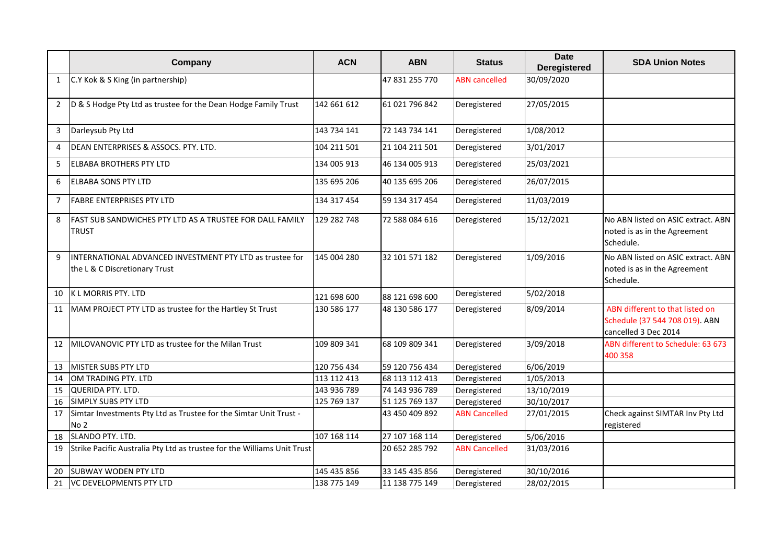|                | Company                                                                                   | <b>ACN</b>  | <b>ABN</b>     | <b>Status</b>        | <b>Date</b><br><b>Deregistered</b> | <b>SDA Union Notes</b>                                                                    |
|----------------|-------------------------------------------------------------------------------------------|-------------|----------------|----------------------|------------------------------------|-------------------------------------------------------------------------------------------|
| $\mathbf{1}$   | C.Y Kok & S King (in partnership)                                                         |             | 47 831 255 770 | <b>ABN</b> cancelled | 30/09/2020                         |                                                                                           |
| $\overline{2}$ | D & S Hodge Pty Ltd as trustee for the Dean Hodge Family Trust                            | 142 661 612 | 61 021 796 842 | Deregistered         | 27/05/2015                         |                                                                                           |
| 3              | Darleysub Pty Ltd                                                                         | 143 734 141 | 72 143 734 141 | Deregistered         | 1/08/2012                          |                                                                                           |
| 4              | DEAN ENTERPRISES & ASSOCS. PTY. LTD.                                                      | 104 211 501 | 21 104 211 501 | Deregistered         | 3/01/2017                          |                                                                                           |
| 5              | <b>ELBABA BROTHERS PTY LTD</b>                                                            | 134 005 913 | 46 134 005 913 | Deregistered         | 25/03/2021                         |                                                                                           |
| 6              | <b>ELBABA SONS PTY LTD</b>                                                                | 135 695 206 | 40 135 695 206 | Deregistered         | 26/07/2015                         |                                                                                           |
| $\overline{7}$ | <b>FABRE ENTERPRISES PTY LTD</b>                                                          | 134 317 454 | 59 134 317 454 | Deregistered         | 11/03/2019                         |                                                                                           |
| 8              | FAST SUB SANDWICHES PTY LTD AS A TRUSTEE FOR DALL FAMILY<br><b>TRUST</b>                  | 129 282 748 | 72 588 084 616 | Deregistered         | 15/12/2021                         | No ABN listed on ASIC extract. ABN<br>noted is as in the Agreement<br>Schedule.           |
| 9              | INTERNATIONAL ADVANCED INVESTMENT PTY LTD as trustee for<br>the L & C Discretionary Trust | 145 004 280 | 32 101 571 182 | Deregistered         | 1/09/2016                          | No ABN listed on ASIC extract. ABN<br>noted is as in the Agreement<br>Schedule.           |
| 10             | K L MORRIS PTY. LTD                                                                       | 121 698 600 | 88 121 698 600 | Deregistered         | 5/02/2018                          |                                                                                           |
| 11             | MAM PROJECT PTY LTD as trustee for the Hartley St Trust                                   | 130 586 177 | 48 130 586 177 | Deregistered         | 8/09/2014                          | ABN different to that listed on<br>Schedule (37 544 708 019). ABN<br>cancelled 3 Dec 2014 |
| 12             | MILOVANOVIC PTY LTD as trustee for the Milan Trust                                        | 109 809 341 | 68 109 809 341 | Deregistered         | 3/09/2018                          | ABN different to Schedule: 63 673<br>400 358                                              |
| 13             | <b>MISTER SUBS PTY LTD</b>                                                                | 120 756 434 | 59 120 756 434 | Deregistered         | 6/06/2019                          |                                                                                           |
| 14             | OM TRADING PTY. LTD                                                                       | 113 112 413 | 68 113 112 413 | Deregistered         | 1/05/2013                          |                                                                                           |
| 15             | QUERIDA PTY. LTD.                                                                         | 143 936 789 | 74 143 936 789 | Deregistered         | 13/10/2019                         |                                                                                           |
| 16             | <b>SIMPLY SUBS PTY LTD</b>                                                                | 125 769 137 | 51 125 769 137 | Deregistered         | 30/10/2017                         |                                                                                           |
| 17             | Simtar Investments Pty Ltd as Trustee for the Simtar Unit Trust -<br>No <sub>2</sub>      |             | 43 450 409 892 | <b>ABN Cancelled</b> | 27/01/2015                         | Check against SIMTAR Inv Pty Ltd<br>registered                                            |
| 18             | SLANDO PTY. LTD.                                                                          | 107 168 114 | 27 107 168 114 | Deregistered         | 5/06/2016                          |                                                                                           |
| 19             | Strike Pacific Australia Pty Ltd as trustee for the Williams Unit Trust                   |             | 20 652 285 792 | <b>ABN Cancelled</b> | 31/03/2016                         |                                                                                           |
| 20             | SUBWAY WODEN PTY LTD                                                                      | 145 435 856 | 33 145 435 856 | Deregistered         | 30/10/2016                         |                                                                                           |
| 21             | <b>VC DEVELOPMENTS PTY LTD</b>                                                            | 138 775 149 | 11 138 775 149 | Deregistered         | 28/02/2015                         |                                                                                           |